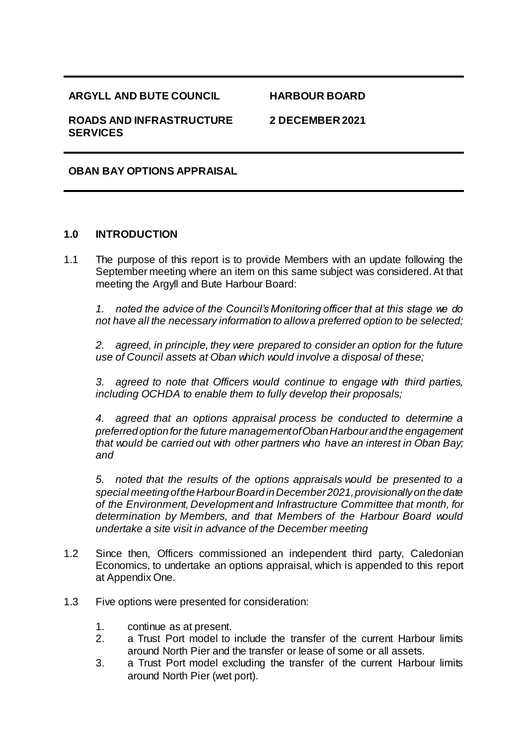#### **ARGYLL AND BUTE COUNCIL HARBOUR BOARD**

#### **ROADS AND INFRASTRUCTURE SERVICES**

**2 DECEMBER 2021**

### **OBAN BAY OPTIONS APPRAISAL**

# **1.0 INTRODUCTION**

1.1 The purpose of this report is to provide Members with an update following the September meeting where an item on this same subject was considered. At that meeting the Argyll and Bute Harbour Board:

*1. noted the advice of the Council's Monitoring officer that at this stage we do not have all the necessary information to allow a preferred option to be selected;*

*2. agreed, in principle, they were prepared to consider an option for the future use of Council assets at Oban which would involve a disposal of these;*

*3. agreed to note that Officers would continue to engage with third parties, including OCHDA to enable them to fully develop their proposals;*

*4. agreed that an options appraisal process be conducted to determine a preferred option for the future management of Oban Harbour and the engagement that would be carried out with other partners who have an interest in Oban Bay; and*

*5. noted that the results of the options appraisals would be presented to a special meeting of the Harbour Board in December 2021, provisionally on the date of the Environment, Development and Infrastructure Committee that month, for determination by Members, and that Members of the Harbour Board would undertake a site visit in advance of the December meeting*

- 1.2 Since then, Officers commissioned an independent third party, Caledonian Economics, to undertake an options appraisal, which is appended to this report at Appendix One.
- 1.3 Five options were presented for consideration:
	- 1. continue as at present.
	- 2. a Trust Port model to include the transfer of the current Harbour limits around North Pier and the transfer or lease of some or all assets.
	- 3. a Trust Port model excluding the transfer of the current Harbour limits around North Pier (wet port).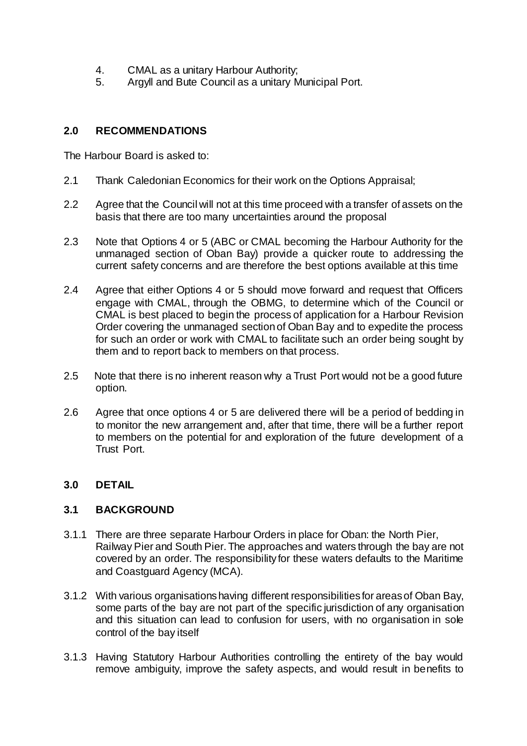- 4. CMAL as a unitary Harbour Authority;<br>5. Argyll and Bute Council as a unitary M
- Argyll and Bute Council as a unitary Municipal Port.

# **2.0 RECOMMENDATIONS**

The Harbour Board is asked to:

- 2.1 Thank Caledonian Economics for their work on the Options Appraisal;
- 2.2 Agree that the Council will not at this time proceed with a transfer of assets on the basis that there are too many uncertainties around the proposal
- 2.3 Note that Options 4 or 5 (ABC or CMAL becoming the Harbour Authority for the unmanaged section of Oban Bay) provide a quicker route to addressing the current safety concerns and are therefore the best options available at this time
- 2.4 Agree that either Options 4 or 5 should move forward and request that Officers engage with CMAL, through the OBMG, to determine which of the Council or CMAL is best placed to begin the process of application for a Harbour Revision Order covering the unmanaged section of Oban Bay and to expedite the process for such an order or work with CMAL to facilitate such an order being sought by them and to report back to members on that process.
- 2.5 Note that there is no inherent reason why a Trust Port would not be a good future option.
- 2.6 Agree that once options 4 or 5 are delivered there will be a period of bedding in to monitor the new arrangement and, after that time, there will be a further report to members on the potential for and exploration of the future development of a Trust Port.

### **3.0 DETAIL**

### **3.1 BACKGROUND**

- 3.1.1 There are three separate Harbour Orders in place for Oban: the North Pier, Railway Pier and South Pier. The approaches and waters through the bay are not covered by an order. The responsibility for these waters defaults to the Maritime and Coastguard Agency (MCA).
- 3.1.2 With various organisations having different responsibilities for areas of Oban Bay, some parts of the bay are not part of the specific jurisdiction of any organisation and this situation can lead to confusion for users, with no organisation in sole control of the bay itself
- 3.1.3 Having Statutory Harbour Authorities controlling the entirety of the bay would remove ambiguity, improve the safety aspects, and would result in benefits to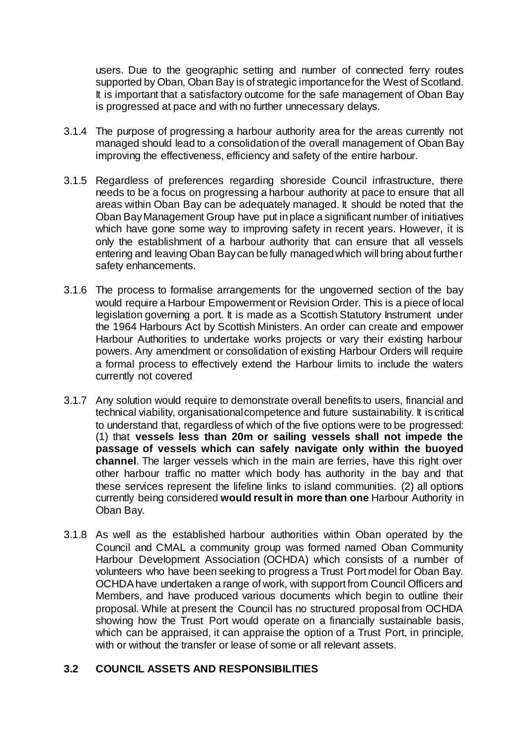users. Due to the geographic setting and number of connected ferry routes supported by Oban, Oban Bay is of strategic importance for the West of Scotland. It is important that a satisfactory outcome for the safe management of Oban Bay is progressed at pace and with no further unnecessary delays.

- 3.1.4 The purpose of progressing a harbour authority area for the areas currently not managed should lead to a consolidation of the overall management of Oban Bay improving the effectiveness, efficiency and safety of the entire harbour.
- 3.1.5 Regardless of preferences regarding shoreside Council infrastructure, there needs to be a focus on progressing a harbour authority at pace to ensure that all areas within Oban Bay can be adequately managed. It should be noted that the Oban Bay Management Group have put in place a significant number of initiatives which have gone some way to improving safety in recent years. However, it is only the establishment of a harbour authority that can ensure that all vessels entering and leaving Oban Bay can be fully managed which will bring about further safety enhancements.
- 3.1.6 The process to formalise arrangements for the ungoverned section of the bay would require a Harbour Empowerment or Revision Order. This is a piece of local legislation governing a port. It is made as a Scottish Statutory Instrument under the 1964 Harbours Act by Scottish Ministers. An order can create and empower Harbour Authorities to undertake works projects or vary their existing harbour powers. Any amendment or consolidation of existing Harbour Orders will require a formal process to effectively extend the Harbour limits to include the waters currently not covered
- 3.1.7 Any solution would require to demonstrate overall benefits to users, financial and technical viability, organisational competence and future sustainability. It is critical to understand that, regardless of which of the five options were to be progressed: (1) that **vessels less than 20m or sailing vessels shall not impede the passage of vessels which can safely navigate only within the buoyed channel**. The larger vessels which in the main are ferries, have this right over other harbour traffic no matter which body has authority in the bay and that these services represent the lifeline links to island communities. (2) all options currently being considered **would result in more than one** Harbour Authority in Oban Bay.
- 3.1.8 As well as the established harbour authorities within Oban operated by the Council and CMAL a community group was formed named Oban Community Harbour Development Association (OCHDA) which consists of a number of volunteers who have been seeking to progress a Trust Port model for Oban Bay. OCHDA have undertaken a range of work, with support from Council Officers and Members, and have produced various documents which begin to outline their proposal. While at present the Council has no structured proposal from OCHDA showing how the Trust Port would operate on a financially sustainable basis, which can be appraised, it can appraise the option of a Trust Port, in principle, with or without the transfer or lease of some or all relevant assets.

### **3.2 COUNCIL ASSETS AND RESPONSIBILITIES**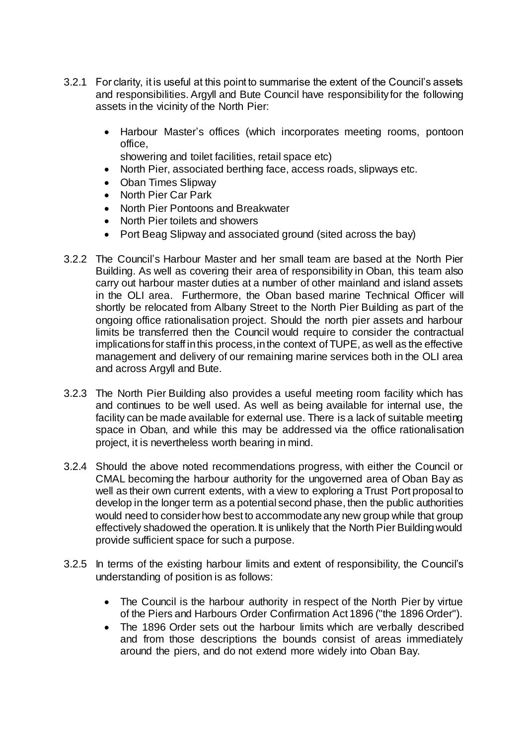- 3.2.1 For clarity, it is useful at this point to summarise the extent of the Council's assets and responsibilities. Argyll and Bute Council have responsibility for the following assets in the vicinity of the North Pier:
	- Harbour Master's offices (which incorporates meeting rooms, pontoon office,

showering and toilet facilities, retail space etc)

- North Pier, associated berthing face, access roads, slipways etc.
- Oban Times Slipway
- North Pier Car Park
- North Pier Pontoons and Breakwater
- North Pier toilets and showers
- Port Beag Slipway and associated ground (sited across the bay)
- 3.2.2 The Council's Harbour Master and her small team are based at the North Pier Building. As well as covering their area of responsibility in Oban, this team also carry out harbour master duties at a number of other mainland and island assets in the OLI area. Furthermore, the Oban based marine Technical Officer will shortly be relocated from Albany Street to the North Pier Building as part of the ongoing office rationalisation project. Should the north pier assets and harbour limits be transferred then the Council would require to consider the contractual implications for staff in this process, in the context of TUPE, as well as the effective management and delivery of our remaining marine services both in the OLI area and across Argyll and Bute.
- 3.2.3 The North Pier Building also provides a useful meeting room facility which has and continues to be well used. As well as being available for internal use, the facility can be made available for external use. There is a lack of suitable meeting space in Oban, and while this may be addressed via the office rationalisation project, it is nevertheless worth bearing in mind.
- 3.2.4 Should the above noted recommendations progress, with either the Council or CMAL becoming the harbour authority for the ungoverned area of Oban Bay as well as their own current extents, with a view to exploring a Trust Port proposal to develop in the longer term as a potential second phase, then the public authorities would need to consider how best to accommodate any new group while that group effectively shadowed the operation. It is unlikely that the North Pier Building would provide sufficient space for such a purpose.
- 3.2.5 In terms of the existing harbour limits and extent of responsibility, the Council's understanding of position is as follows:
	- The Council is the harbour authority in respect of the North Pier by virtue of the Piers and Harbours Order Confirmation Act 1896 ("the 1896 Order").
	- The 1896 Order sets out the harbour limits which are verbally described and from those descriptions the bounds consist of areas immediately around the piers, and do not extend more widely into Oban Bay.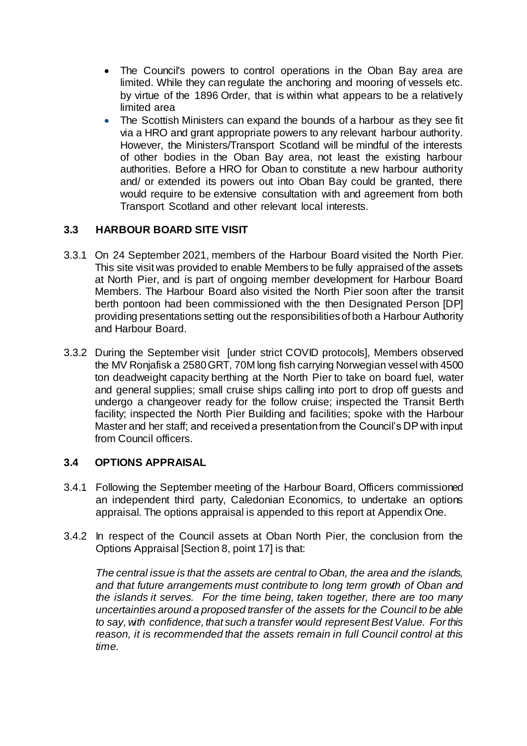- The Council's powers to control operations in the Oban Bay area are limited. While they can regulate the anchoring and mooring of vessels etc. by virtue of the 1896 Order, that is within what appears to be a relatively limited area
- The Scottish Ministers can expand the bounds of a harbour as they see fit via a HRO and grant appropriate powers to any relevant harbour authority. However, the Ministers/Transport Scotland will be mindful of the interests of other bodies in the Oban Bay area, not least the existing harbour authorities. Before a HRO for Oban to constitute a new harbour authority and/ or extended its powers out into Oban Bay could be granted, there would require to be extensive consultation with and agreement from both Transport Scotland and other relevant local interests.

# **3.3 HARBOUR BOARD SITE VISIT**

- 3.3.1 On 24 September 2021, members of the Harbour Board visited the North Pier. This site visit was provided to enable Members to be fully appraised of the assets at North Pier, and is part of ongoing member development for Harbour Board Members. The Harbour Board also visited the North Pier soon after the transit berth pontoon had been commissioned with the then Designated Person [DP] providing presentations setting out the responsibilities of both a Harbour Authority and Harbour Board.
- 3.3.2 During the September visit [under strict COVID protocols], Members observed the MV Ronjafisk a 2580 GRT, 70M long fish carrying Norwegian vessel with 4500 ton deadweight capacity berthing at the North Pier to take on board fuel, water and general supplies; small cruise ships calling into port to drop off guests and undergo a changeover ready for the follow cruise; inspected the Transit Berth facility; inspected the North Pier Building and facilities; spoke with the Harbour Master and her staff; and received a presentation from the Council's DP with input from Council officers.

# **3.4 OPTIONS APPRAISAL**

- 3.4.1 Following the September meeting of the Harbour Board, Officers commissioned an independent third party, Caledonian Economics, to undertake an options appraisal. The options appraisal is appended to this report at Appendix One.
- 3.4.2 In respect of the Council assets at Oban North Pier, the conclusion from the Options Appraisal [Section 8, point 17] is that:

*The central issue is that the assets are central to Oban, the area and the islands, and that future arrangements must contribute to long term growth of Oban and the islands it serves. For the time being, taken together, there are too many uncertainties around a proposed transfer of the assets for the Council to be able to say, with confidence, that such a transfer would represent Best Value. For this reason, it is recommended that the assets remain in full Council control at this time.*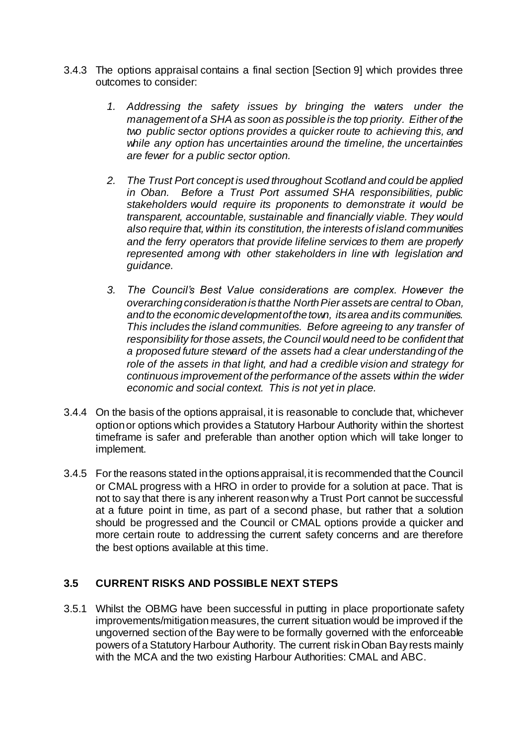- 3.4.3 The options appraisal contains a final section [Section 9] which provides three outcomes to consider:
	- *1. Addressing the safety issues by bringing the waters under the management of a SHA as soon as possible is the top priority. Either of the two public sector options provides a quicker route to achieving this, and while any option has uncertainties around the timeline, the uncertainties are fewer for a public sector option.*
	- *2. The Trust Port concept is used throughout Scotland and could be applied in Oban. Before a Trust Port assumed SHA responsibilities, public stakeholders would require its proponents to demonstrate it would be transparent, accountable, sustainable and financially viable. They would also require that, within its constitution, the interests of island communities and the ferry operators that provide lifeline services to them are properly represented among with other stakeholders in line with legislation and guidance.*
	- *3. The Council's Best Value considerations are complex. However the overarching consideration is that the North Pier assets are central to Oban, and to the economic development of the town, its area and its communities. This includes the island communities. Before agreeing to any transfer of responsibility for those assets, the Council would need to be confident that a proposed future steward of the assets had a clear understanding of the role of the assets in that light, and had a credible vision and strategy for continuous improvement of the performance of the assets within the wider economic and social context. This is not yet in place.*
- 3.4.4 On the basis of the options appraisal, it is reasonable to conclude that, whichever option or options which provides a Statutory Harbour Authority within the shortest timeframe is safer and preferable than another option which will take longer to implement.
- 3.4.5 For the reasons stated in the options appraisal, it is recommended that the Council or CMAL progress with a HRO in order to provide for a solution at pace. That is not to say that there is any inherent reason why a Trust Port cannot be successful at a future point in time, as part of a second phase, but rather that a solution should be progressed and the Council or CMAL options provide a quicker and more certain route to addressing the current safety concerns and are therefore the best options available at this time.

# **3.5 CURRENT RISKS AND POSSIBLE NEXT STEPS**

3.5.1 Whilst the OBMG have been successful in putting in place proportionate safety improvements/mitigation measures, the current situation would be improved if the ungoverned section of the Bay were to be formally governed with the enforceable powers of a Statutory Harbour Authority. The current risk in Oban Bay rests mainly with the MCA and the two existing Harbour Authorities: CMAL and ABC.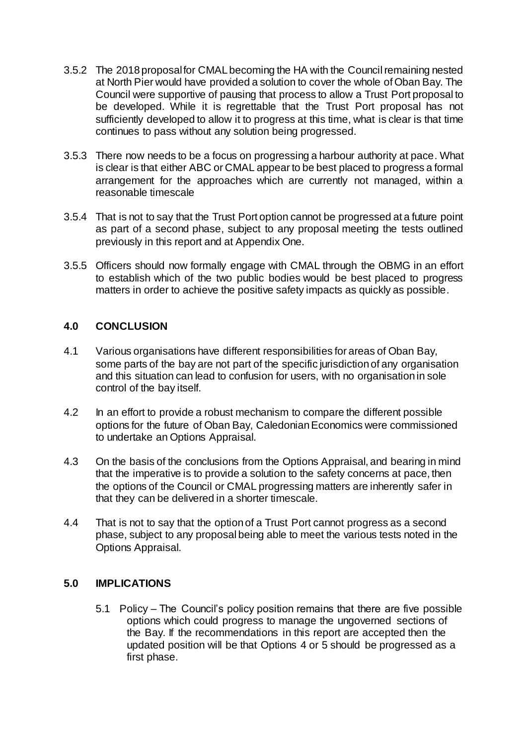- 3.5.2 The 2018 proposal for CMAL becoming the HA with the Council remaining nested at North Pier would have provided a solution to cover the whole of Oban Bay. The Council were supportive of pausing that process to allow a Trust Port proposal to be developed. While it is regrettable that the Trust Port proposal has not sufficiently developed to allow it to progress at this time, what is clear is that time continues to pass without any solution being progressed.
- 3.5.3 There now needs to be a focus on progressing a harbour authority at pace. What is clear is that either ABC or CMAL appear to be best placed to progress a formal arrangement for the approaches which are currently not managed, within a reasonable timescale
- 3.5.4 That is not to say that the Trust Port option cannot be progressed at a future point as part of a second phase, subject to any proposal meeting the tests outlined previously in this report and at Appendix One.
- 3.5.5 Officers should now formally engage with CMAL through the OBMG in an effort to establish which of the two public bodies would be best placed to progress matters in order to achieve the positive safety impacts as quickly as possible.

# **4.0 CONCLUSION**

- 4.1 Various organisations have different responsibilities for areas of Oban Bay, some parts of the bay are not part of the specific jurisdiction of any organisation and this situation can lead to confusion for users, with no organisation in sole control of the bay itself.
- 4.2 In an effort to provide a robust mechanism to compare the different possible options for the future of Oban Bay, Caledonian Economics were commissioned to undertake an Options Appraisal.
- 4.3 On the basis of the conclusions from the Options Appraisal, and bearing in mind that the imperative is to provide a solution to the safety concerns at pace, then the options of the Council or CMAL progressing matters are inherently safer in that they can be delivered in a shorter timescale.
- 4.4 That is not to say that the option of a Trust Port cannot progress as a second phase, subject to any proposal being able to meet the various tests noted in the Options Appraisal.

### **5.0 IMPLICATIONS**

5.1 Policy – The Council's policy position remains that there are five possible options which could progress to manage the ungoverned sections of the Bay. If the recommendations in this report are accepted then the updated position will be that Options 4 or 5 should be progressed as a first phase.